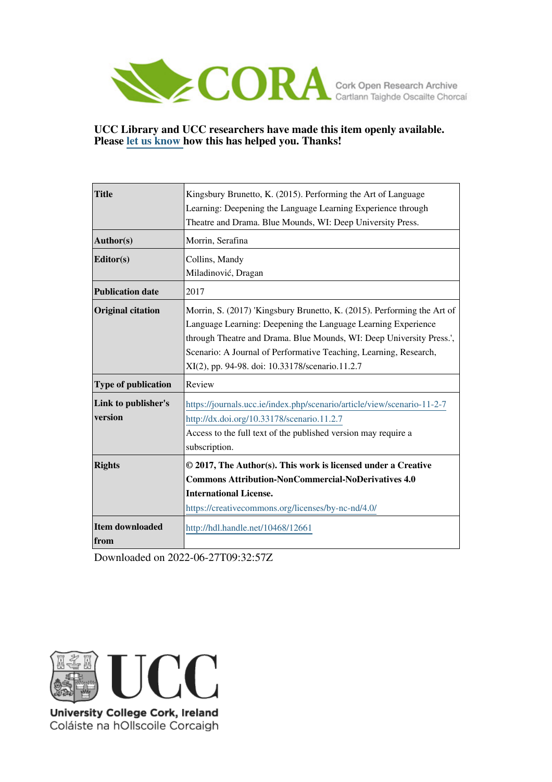

## **UCC Library and UCC researchers have made this item openly available. Please [let us know h](https://libguides.ucc.ie/openaccess/impact?suffix=12661&title=Kingsbury Brunetto, K. (2015). Performing the Art of Language Learning: Deepening the Language Learning Experience through Theatre and Drama. Blue Mounds, WI: Deep University Press.)ow this has helped you. Thanks!**

| <b>Title</b>             | Kingsbury Brunetto, K. (2015). Performing the Art of Language           |
|--------------------------|-------------------------------------------------------------------------|
|                          | Learning: Deepening the Language Learning Experience through            |
|                          | Theatre and Drama. Blue Mounds, WI: Deep University Press.              |
| Author(s)                | Morrin, Serafina                                                        |
| Editor(s)                | Collins, Mandy                                                          |
|                          | Miladinović, Dragan                                                     |
| <b>Publication date</b>  | 2017                                                                    |
| <b>Original citation</b> | Morrin, S. (2017) 'Kingsbury Brunetto, K. (2015). Performing the Art of |
|                          | Language Learning: Deepening the Language Learning Experience           |
|                          | through Theatre and Drama. Blue Mounds, WI: Deep University Press.',    |
|                          | Scenario: A Journal of Performative Teaching, Learning, Research,       |
|                          | XI(2), pp. 94-98. doi: 10.33178/scenario.11.2.7                         |
| Type of publication      | Review                                                                  |
| Link to publisher's      | https://journals.ucc.ie/index.php/scenario/article/view/scenario-11-2-7 |
| version                  | http://dx.doi.org/10.33178/scenario.11.2.7                              |
|                          | Access to the full text of the published version may require a          |
|                          | subscription.                                                           |
| <b>Rights</b>            | © 2017, The Author(s). This work is licensed under a Creative           |
|                          | <b>Commons Attribution-NonCommercial-NoDerivatives 4.0</b>              |
|                          | <b>International License.</b>                                           |
|                          | https://creativecommons.org/licenses/by-nc-nd/4.0/                      |
| Item downloaded          | http://hdl.handle.net/10468/12661                                       |
| from                     |                                                                         |

Downloaded on 2022-06-27T09:32:57Z



University College Cork, Ireland Coláiste na hOllscoile Corcaigh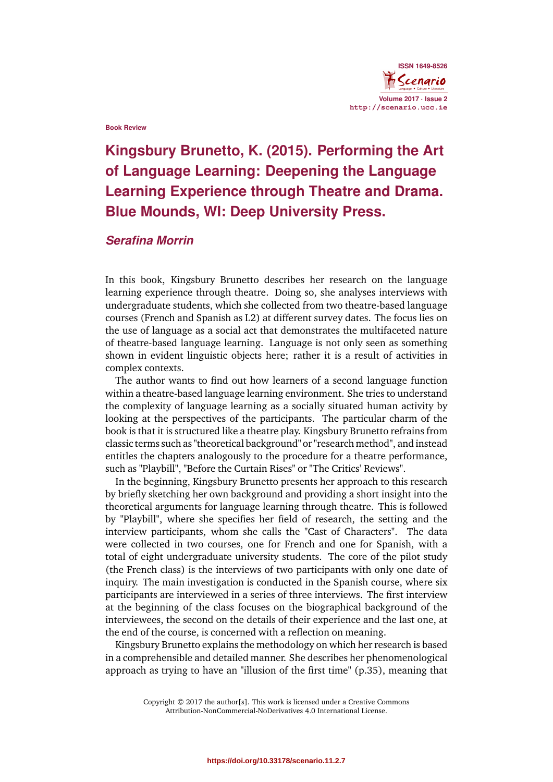

#### **Book Review**

# **Kingsbury Brunetto, K. (2015). Performing the Art of Language Learning: Deepening the Language Learning Experience through Theatre and Drama. Blue Mounds, WI: Deep University Press.**

## *Serafina Morrin*

In this book, Kingsbury Brunetto describes her research on the language learning experience through theatre. Doing so, she analyses interviews with undergraduate students, which she collected from two theatre-based language courses (French and Spanish as L2) at different survey dates. The focus lies on the use of language as a social act that demonstrates the multifaceted nature of theatre-based language learning. Language is not only seen as something shown in evident linguistic objects here; rather it is a result of activities in complex contexts.

The author wants to find out how learners of a second language function within a theatre-based language learning environment. She tries to understand the complexity of language learning as a socially situated human activity by looking at the perspectives of the participants. The particular charm of the book is that it is structured like a theatre play. Kingsbury Brunetto refrains from classic terms such as "theoretical background" or "research method", and instead entitles the chapters analogously to the procedure for a theatre performance, such as "Playbill", "Before the Curtain Rises" or "The Critics' Reviews".

In the beginning, Kingsbury Brunetto presents her approach to this research by briefly sketching her own background and providing a short insight into the theoretical arguments for language learning through theatre. This is followed by "Playbill", where she specifies her field of research, the setting and the interview participants, whom she calls the "Cast of Characters". The data were collected in two courses, one for French and one for Spanish, with a total of eight undergraduate university students. The core of the pilot study (the French class) is the interviews of two participants with only one date of inquiry. The main investigation is conducted in the Spanish course, where six participants are interviewed in a series of three interviews. The first interview at the beginning of the class focuses on the biographical background of the interviewees, the second on the details of their experience and the last one, at the end of the course, is concerned with a reflection on meaning.

Kingsbury Brunetto explains the methodology on which her research is based in a comprehensible and detailed manner. She describes her phenomenological approach as trying to have an "illusion of the first time" (p.35), meaning that

> Copyright © 2017 the author[s]. This work is licensed under a Creative Commons Attribution-NonCommercial-NoDerivatives 4.0 International License.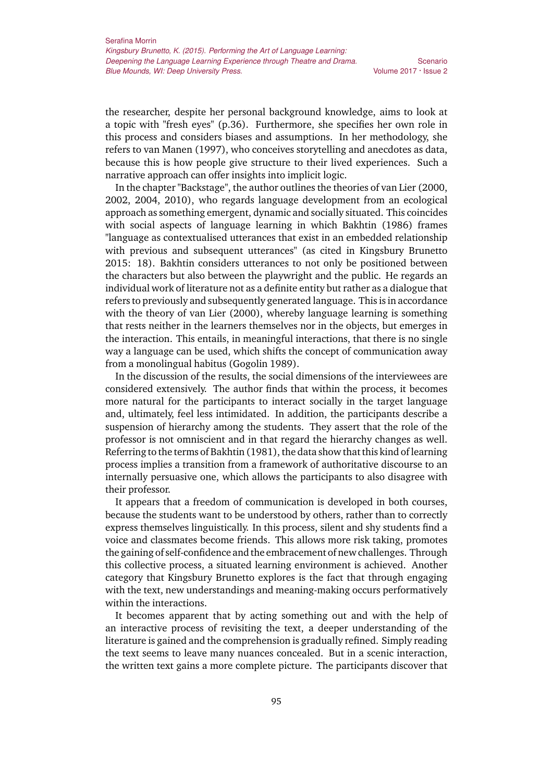Volume 2017 · Issue 2

the researcher, despite her personal background knowledge, aims to look at a topic with "fresh eyes" (p.36). Furthermore, she specifies her own role in this process and considers biases and assumptions. In her methodology, she refers to van Manen (1997), who conceives storytelling and anecdotes as data, because this is how people give structure to their lived experiences. Such a narrative approach can offer insights into implicit logic.

In the chapter "Backstage", the author outlines the theories of van Lier (2000, 2002, 2004, 2010), who regards language development from an ecological approach as something emergent, dynamic and socially situated. This coincides with social aspects of language learning in which Bakhtin (1986) frames "language as contextualised utterances that exist in an embedded relationship with previous and subsequent utterances" (as cited in Kingsbury Brunetto 2015: 18). Bakhtin considers utterances to not only be positioned between the characters but also between the playwright and the public. He regards an individual work of literature not as a definite entity but rather as a dialogue that refers to previously and subsequently generated language. This is in accordance with the theory of van Lier (2000), whereby language learning is something that rests neither in the learners themselves nor in the objects, but emerges in the interaction. This entails, in meaningful interactions, that there is no single way a language can be used, which shifts the concept of communication away from a monolingual habitus (Gogolin 1989).

In the discussion of the results, the social dimensions of the interviewees are considered extensively. The author finds that within the process, it becomes more natural for the participants to interact socially in the target language and, ultimately, feel less intimidated. In addition, the participants describe a suspension of hierarchy among the students. They assert that the role of the professor is not omniscient and in that regard the hierarchy changes as well. Referring to the terms of Bakhtin (1981), the data show that this kind of learning process implies a transition from a framework of authoritative discourse to an internally persuasive one, which allows the participants to also disagree with their professor.

It appears that a freedom of communication is developed in both courses, because the students want to be understood by others, rather than to correctly express themselves linguistically. In this process, silent and shy students find a voice and classmates become friends. This allows more risk taking, promotes the gaining of self-confidence and the embracement of new challenges. Through this collective process, a situated learning environment is achieved. Another category that Kingsbury Brunetto explores is the fact that through engaging with the text, new understandings and meaning-making occurs performatively within the interactions.

It becomes apparent that by acting something out and with the help of an interactive process of revisiting the text, a deeper understanding of the literature is gained and the comprehension is gradually refined. Simply reading the text seems to leave many nuances concealed. But in a scenic interaction, the written text gains a more complete picture. The participants discover that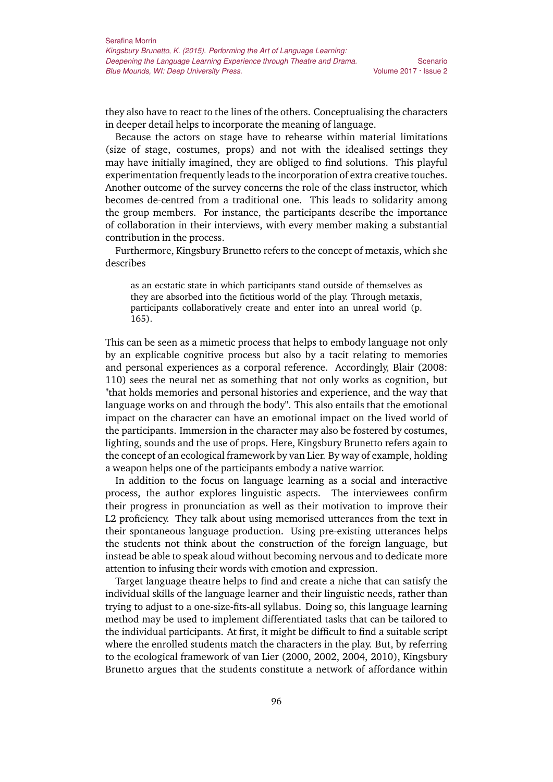they also have to react to the lines of the others. Conceptualising the characters in deeper detail helps to incorporate the meaning of language.

Because the actors on stage have to rehearse within material limitations (size of stage, costumes, props) and not with the idealised settings they may have initially imagined, they are obliged to find solutions. This playful experimentation frequently leads to the incorporation of extra creative touches. Another outcome of the survey concerns the role of the class instructor, which becomes de-centred from a traditional one. This leads to solidarity among the group members. For instance, the participants describe the importance of collaboration in their interviews, with every member making a substantial contribution in the process.

Furthermore, Kingsbury Brunetto refers to the concept of metaxis, which she describes

as an ecstatic state in which participants stand outside of themselves as they are absorbed into the fictitious world of the play. Through metaxis, participants collaboratively create and enter into an unreal world (p. 165).

This can be seen as a mimetic process that helps to embody language not only by an explicable cognitive process but also by a tacit relating to memories and personal experiences as a corporal reference. Accordingly, Blair (2008: 110) sees the neural net as something that not only works as cognition, but "that holds memories and personal histories and experience, and the way that language works on and through the body". This also entails that the emotional impact on the character can have an emotional impact on the lived world of the participants. Immersion in the character may also be fostered by costumes, lighting, sounds and the use of props. Here, Kingsbury Brunetto refers again to the concept of an ecological framework by van Lier. By way of example, holding a weapon helps one of the participants embody a native warrior.

In addition to the focus on language learning as a social and interactive process, the author explores linguistic aspects. The interviewees confirm their progress in pronunciation as well as their motivation to improve their L2 proficiency. They talk about using memorised utterances from the text in their spontaneous language production. Using pre-existing utterances helps the students not think about the construction of the foreign language, but instead be able to speak aloud without becoming nervous and to dedicate more attention to infusing their words with emotion and expression.

Target language theatre helps to find and create a niche that can satisfy the individual skills of the language learner and their linguistic needs, rather than trying to adjust to a one-size-fits-all syllabus. Doing so, this language learning method may be used to implement differentiated tasks that can be tailored to the individual participants. At first, it might be difficult to find a suitable script where the enrolled students match the characters in the play. But, by referring to the ecological framework of van Lier (2000, 2002, 2004, 2010), Kingsbury Brunetto argues that the students constitute a network of affordance within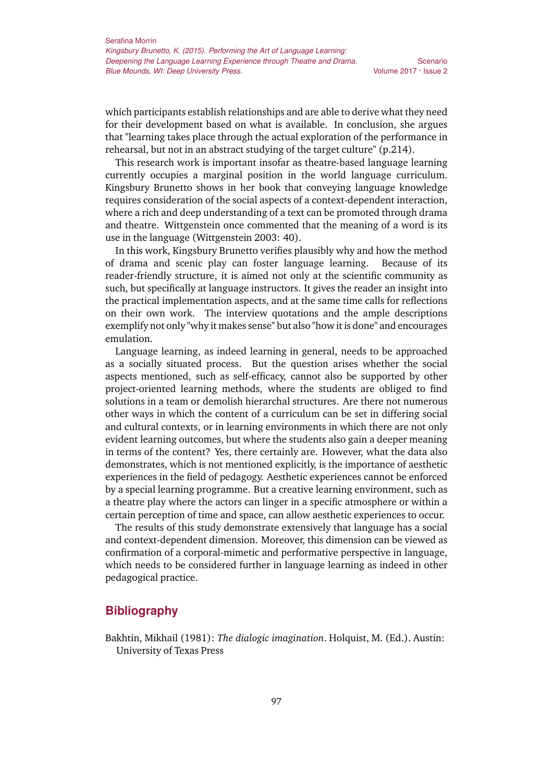Scenario Volume 2017 · Issue 2

which participants establish relationships and are able to derive what they need for their development based on what is available. In conclusion, she argues that "learning takes place through the actual exploration of the performance in rehearsal, but not in an abstract studying of the target culture" (p.214).

This research work is important insofar as theatre-based language learning currently occupies a marginal position in the world language curriculum. Kingsbury Brunetto shows in her book that conveying language knowledge requires consideration of the social aspects of a context-dependent interaction, where a rich and deep understanding of a text can be promoted through drama and theatre. Wittgenstein once commented that the meaning of a word is its use in the language (Wittgenstein 2003: 40).

In this work, Kingsbury Brunetto verifies plausibly why and how the method of drama and scenic play can foster language learning. Because of its reader-friendly structure, it is aimed not only at the scientific community as such, but specifically at language instructors. It gives the reader an insight into the practical implementation aspects, and at the same time calls for reflections on their own work. The interview quotations and the ample descriptions exemplify not only "why it makes sense" but also "how it is done" and encourages emulation.

Language learning, as indeed learning in general, needs to be approached as a socially situated process. But the question arises whether the social aspects mentioned, such as self-efficacy, cannot also be supported by other project-oriented learning methods, where the students are obliged to find solutions in a team or demolish hierarchal structures. Are there not numerous other ways in which the content of a curriculum can be set in differing social and cultural contexts, or in learning environments in which there are not only evident learning outcomes, but where the students also gain a deeper meaning in terms of the content? Yes, there certainly are. However, what the data also demonstrates, which is not mentioned explicitly, is the importance of aesthetic experiences in the field of pedagogy. Aesthetic experiences cannot be enforced by a special learning programme. But a creative learning environment, such as a theatre play where the actors can linger in a specific atmosphere or within a certain perception of time and space, can allow aesthetic experiences to occur.

The results of this study demonstrate extensively that language has a social and context-dependent dimension. Moreover, this dimension can be viewed as confirmation of a corporal-mimetic and performative perspective in language, which needs to be considered further in language learning as indeed in other pedagogical practice.

### **Bibliography**

Bakhtin, Mikhail (1981): *The dialogic imagination*. Holquist, M. (Ed.). Austin: University of Texas Press